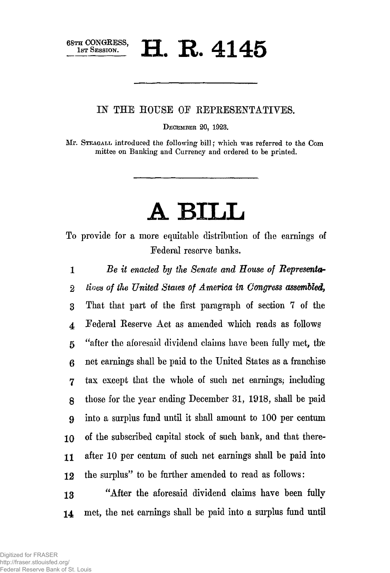$\mathbf{H}$  **R.** 4145

IN THE HOUSE OE REPRESENTATIVES.

**DECEMBER 20, 1623.** 

**Mr. STEAGALL introduced the following bill; which was referred to the Com mittee on Banking and Currency and ordered to be printed.** 

## A BILL

To provide for a more equitable distribution of the earnings of Federal reserve banks,

*1 Be it enacted by ike Senate and House of Representor 2 lives of the United States of America in Congress assembled,* 

3 That that part of the first paragraph of section 7 of the *4* Federal Reserve Act as amended which reads as follows 5 "after the aforesaid dividend claims have been fully met, the 6 net earnings shall be paid to the United States as a franchise 7 tax except that the whole of such net earnings; including g those for the year ending December 31, 1918, shall be paid **9** into a surplus fund until it shall amount to 100 per centum 10 of the subscribed capital stock of such bank, and that there-**11** after 10 per centum of such net earnings shall be paid into 12 the surplus" to be further amended to read as follows:

13 "After the aforesaid dividend claims have been fully 14 met, the net earnings shall be paid into a surplus fund until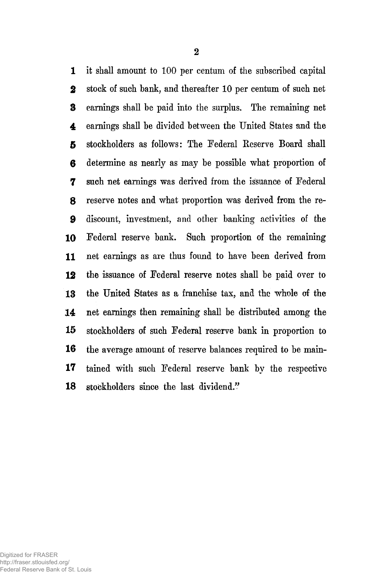1 it shall amount to 100 per centum of the subscribed capital stock of such bank, and thereafter 10 per centum of such net earnings shall be paid into the surplus. The remaining net 4 earnings shall be divided between the United States and the stockholders as follows: The Federal Reserve Board shall determine as nearly as may be possible what proportion of such net earnings was derived from the issuance of Federal reserve notes and what proportion was derived from the re- discount, investment, and other banking activities of the Federal reserve bank. Such proportion of the remaining net earnings as are thus found to have been derived from the issuance of Federal reserve notes shall be paid over to the United States as a franchise tax, and the whole of the net earnings then remaining shall be distributed among the stockholders of such Federal reserve bank in proportion to the average amount of reserve balances required to be main- tained with such Federal reserve bank by the respective stockholders since the last dividend."